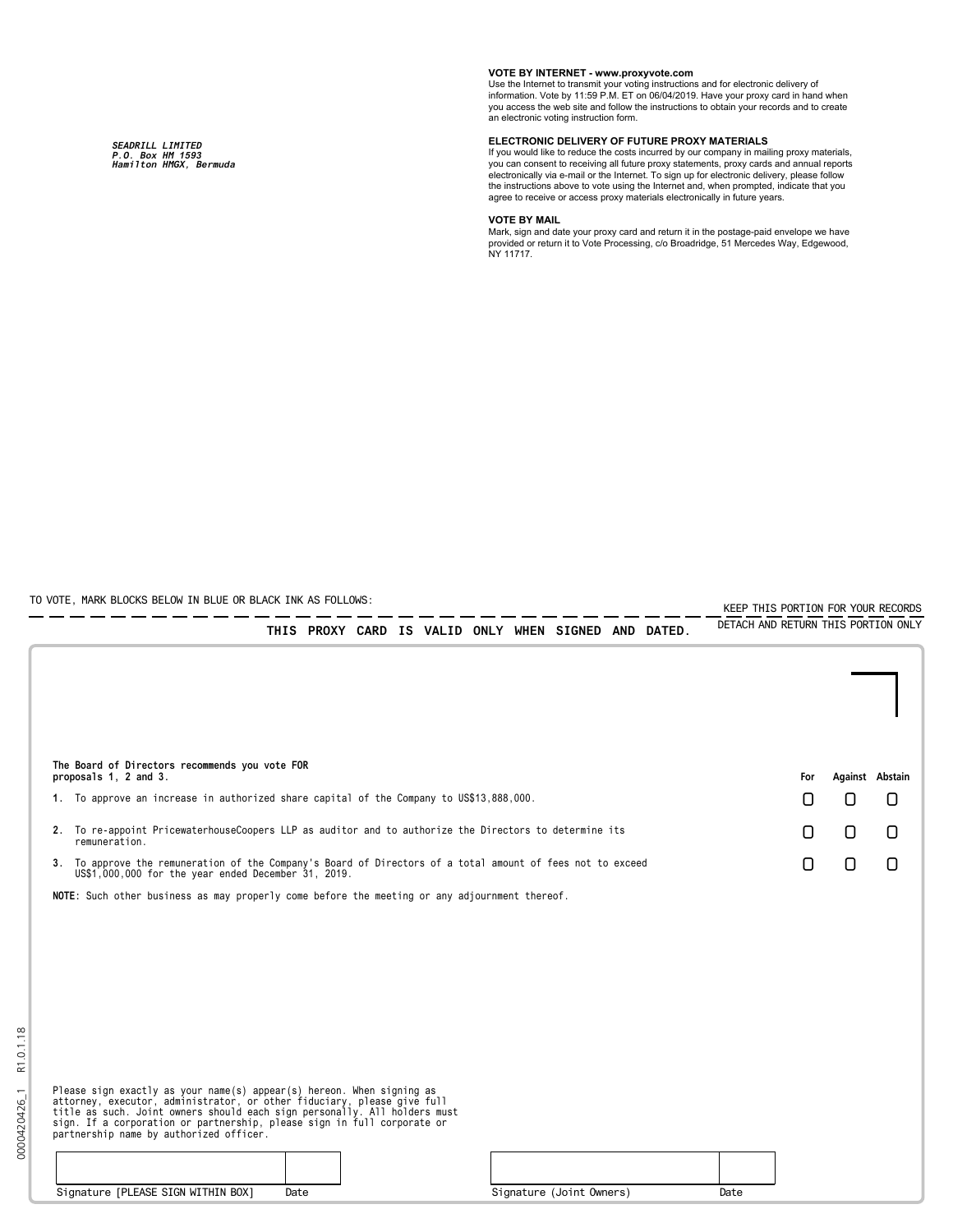*SEADRILL LIMITED P.O. Box HM 1593 Hamilton HMGX, Bermuda*

## **VOTE BY INTERNET - www.proxyvote.com**

Use the Internet to transmit your voting instructions and for electronic delivery of information. Vote by 11:59 P.M. ET on 06/04/2019. Have your proxy card in hand when you access the web site and follow the instructions to obtain your records and to create an electronic voting instruction form.

## **ELECTRONIC DELIVERY OF FUTURE PROXY MATERIALS**

If you would like to reduce the costs incurred by our company in mailing proxy materials, you can consent to receiving all future proxy statements, proxy cards and annual reports electronically via e-mail or the Internet. To sign up for electronic delivery, please follow the instructions above to vote using the Internet and, when prompted, indicate that you agree to receive or access proxy materials electronically in future years.

## **VOTE BY MAIL**

Mark, sign and date your proxy card and return it in the postage-paid envelope we have provided or return it to Vote Processing, c/o Broadridge, 51 Mercedes Way, Edgewood, NY 11717.

TO VOTE, MARK BLOCKS BELOW IN BLUE OR BLACK INK AS FOLLOWS:

0000420426\_1 R1.0.1.18

0000420426\_1

R1.0.1.18

KEEP THIS PORTION FOR YOUR RECORDS DETACH AND RETURN THIS PORTION ONLY

| The Board of Directors recommends you vote FOR<br>proposals 1, 2 and 3. |                                                                                                                                                                                                                                                                                                                                                     |                          | For  | Against Abstain |        |        |  |
|-------------------------------------------------------------------------|-----------------------------------------------------------------------------------------------------------------------------------------------------------------------------------------------------------------------------------------------------------------------------------------------------------------------------------------------------|--------------------------|------|-----------------|--------|--------|--|
|                                                                         | 1. To approve an increase in authorized share capital of the Company to US\$13,888,000.                                                                                                                                                                                                                                                             |                          |      | n               | n      | Π      |  |
|                                                                         | 2. To re-appoint PricewaterhouseCoopers LLP as auditor and to authorize the Directors to determine its<br>remuneration.                                                                                                                                                                                                                             |                          |      | n               | 0      | 0      |  |
|                                                                         | 3. To approve the remuneration of the Company's Board of Directors of a total amount of fees not to exceed<br>US\$1,000,000 for the year ended December 31, 2019.                                                                                                                                                                                   |                          |      | n               | $\Box$ | $\Box$ |  |
|                                                                         | NOTE: Such other business as may properly come before the meeting or any adjournment thereof.                                                                                                                                                                                                                                                       |                          |      |                 |        |        |  |
|                                                                         |                                                                                                                                                                                                                                                                                                                                                     |                          |      |                 |        |        |  |
|                                                                         |                                                                                                                                                                                                                                                                                                                                                     |                          |      |                 |        |        |  |
|                                                                         |                                                                                                                                                                                                                                                                                                                                                     |                          |      |                 |        |        |  |
|                                                                         |                                                                                                                                                                                                                                                                                                                                                     |                          |      |                 |        |        |  |
|                                                                         |                                                                                                                                                                                                                                                                                                                                                     |                          |      |                 |        |        |  |
|                                                                         |                                                                                                                                                                                                                                                                                                                                                     |                          |      |                 |        |        |  |
|                                                                         | Please sign exactly as your name(s) appear(s) hereon. When signing as<br>attorney, executor, administrator, or other fiduciary, please give full<br>title as such. Joint owners should each sign personally. All holders must<br>sign. If a corporation or partnership, please sign in full corporate or<br>partnership name by authorized officer. |                          |      |                 |        |        |  |
|                                                                         |                                                                                                                                                                                                                                                                                                                                                     |                          |      |                 |        |        |  |
|                                                                         | Signature [PLEASE SIGN WITHIN BOX]<br>Date                                                                                                                                                                                                                                                                                                          | Signature (Joint Owners) | Date |                 |        |        |  |

THIS PROXY CARD IS VALID ONLY WHEN SIGNED AND DATED.